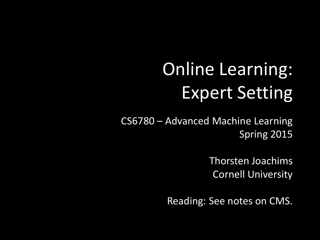# Online Learning: Expert Setting

CS6780 – Advanced Machine Learning Spring 2015

> Thorsten Joachims Cornell University

Reading: See notes on CMS.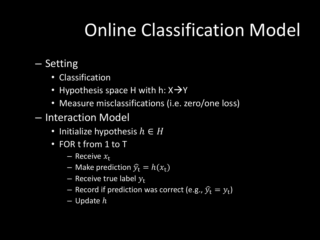## Online Classification Model

- Setting
	- Classification
	- Hypothesis space H with h:  $X\rightarrow Y$
	- Measure misclassifications (i.e. zero/one loss)
- Interaction Model
	- Initialize hypothesis  $h \in H$
	- FOR t from 1 to T
		- Receive  $x_t$
		- Make prediction  $\widehat{y}_t = h(x_t)$
		- Receive true label  $y_t$
		- $-$  Record if prediction was correct (e.g.,  $\widehat{y}_t = y_t$ )
		- $-$  Update  $h$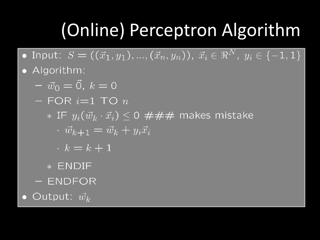## (Online) Perceptron Algorithm

- Input:  $S = ((\vec{x}_1, y_1), ..., (\vec{x}_n, y_n)),$   $\vec{x}_i \in \Re^{N},$   $y_i \in \{-1, 1\}^{\top}$
- Algorithm:
	- $-\vec{w}_0 = \vec{0}, k = 0$
	- $-$  FOR  $i=1$  TO  $n$ 
		- \* IF  $y_i(\vec{w}_k \cdot \vec{x}_i) \leq 0$  ### makes mistake
			- $\overrightarrow{w}_{k+1} = \overrightarrow{w}_k + y_i \overrightarrow{x}_i$
			- $k = k + 1$
		- \* ENDIF
	- ENDFOR
- Output:  $\vec{w}_k$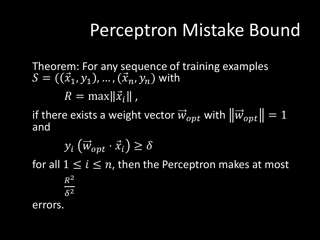#### Perceptron Mistake Bound

Theorem: For any sequence of training examples  $S = ((\vec{x}_1, y_1), ..., (\vec{x}_n, y_n)$  with  $R = \max \lVert \vec{x}_i \rVert$  ,

if there exists a weight vector  $\vec{w}_{opt}$  with  $\left|\left|\vec{w}_{opt}\right|\right|=1$ and

 $y_i \left( \vec{w}_{opt} \cdot \vec{x}_i \right) \ge \delta$ 

for all  $1 \leq i \leq n$ , then the Perceptron makes at most

 $R^2$  $\delta^2$ errors.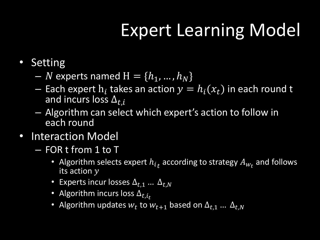### Expert Learning Model

- Setting
	- N experts named  $H = \{h_1, ..., h_N\}$
	- $-$  Each expert  $h_i$  takes an action  $y = h_i(x_t)$  in each round t and incurs loss  $\Delta_{t.i}$
	- Algorithm can select which expert's action to follow in each round
- Interaction Model
	- FOR t from 1 to T
		- Algorithm selects expert  $h_{it}$  according to strategy  $A_{W_t}$  and follows its action  $\overline{y}$
		- Experts incur losses  $\Delta_{t.1}$  …  $\Delta_{t.N}$
		- Algorithm incurs loss  $\Delta_{t,i_r}$
		- Algorithm updates  $w_t$  to  $w_{t+1}$  based on  $\Delta_{t,1}$  ...  $\Delta_{t,N}$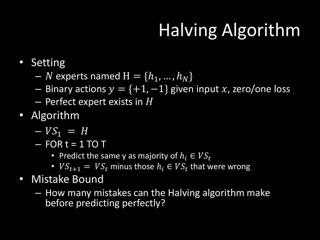# Halving Algorithm

- Setting
	- N experts named  $H = \{h_1, ..., h_N\}$
	- Binary actions  $y = \{+1, -1\}$  given input x, zero/one loss
	- $-$  Perfect expert exists in H
- Algorithm
	- $-VS_1 = H$
	- $-$  FOR t = 1 TO T
		- Predict the same y as majority of  $h_i \in VS_t$
		- $VS_{t+1} = VS_t$  minus those  $h_i \in VS_t$  that were wrong
- Mistake Bound
	- How many mistakes can the Halving algorithm make before predicting perfectly?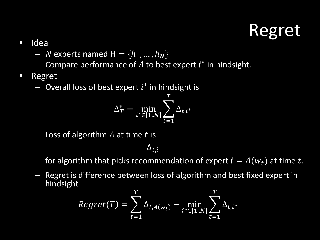#### Regret

- Idea
	- *N* experts named  $H = \{h_1, ..., h_N\}$
	- $-$  Compare performance of  $A$  to best expert  $i^*$  in hindsight.
- Regret
	- $-$  Overall loss of best expert  $i^*$  in hindsight is

$$
\Delta_T^* = \min_{i^* \in [1..N]} \sum_{t=1}^T \Delta_{t,i^*}
$$

 $-$  Loss of algorithm  $A$  at time  $t$  is

 $\Delta_{t,i}$ 

for algorithm that picks recommendation of expert  $i = A(w_t)$  at time t.

– Regret is difference between loss of algorithm and best fixed expert in hindsight

$$
Regret(T) = \sum_{t=1}^{T} \Delta_{t, A(w_t)} - \min_{i^* \in [1..N]} \sum_{t=1}^{T} \Delta_{t, i^*}
$$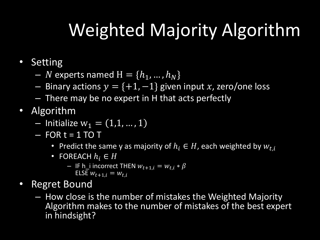## Weighted Majority Algorithm

- Setting
	- $N$  experts named  $H = \{h_1, ..., h_N\}$
	- Binary actions  $y = \{+1, -1\}$  given input x, zero/one loss
	- There may be no expert in H that acts perfectly
- Algorithm
	- $-$  Initialize  $w_1 = (1,1, ..., 1)$
	- $-$  FOR  $t = 1$  TO T
		- Predict the same y as majority of  $h_i \in H$ , each weighted by  $w_{t,i}$
		- FOREACH  $h_i \in H$ 
			- IF h\_i incorrect THEN  $w_{t+1,i} = w_{t,i} * \beta$ ELSE  $w_{t+1,i} = w_{t,i}$
- Regret Bound
	- How close is the number of mistakes the Weighted Majority Algorithm makes to the number of mistakes of the best expert in hindsight?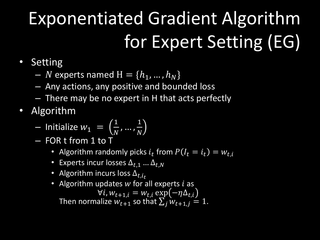# Exponentiated Gradient Algorithm for Expert Setting (EG)

- Setting
	- N experts named  $H = \{h_1, ..., h_N\}$
	- Any actions, any positive and bounded loss
	- There may be no expert in H that acts perfectly
- Algorithm
	- $-$  Initialize  $w_1 =$ 1  $\overline{N}$ , … , 1  $\overline{N}$
	- FOR t from 1 to T
		- Algorithm randomly picks  $i_t$  from  $P(I_t = i_t) = w_{t,i}$
		- Experts incur losses  $\Delta_{t.1}$  ...  $\Delta_{t.N}$
		- Algorithm incurs loss  $\Delta_{t.i.f.}$
		- Algorithm updates  $w$  for all experts  $i$  as  $\forall i, w_{t+1,i} = w_{t,i} \exp(-\eta \Delta_{t,i})$ Then normalize  $W_{t+1}$  so that  $\sum_j W_{t+1,j} = 1$ .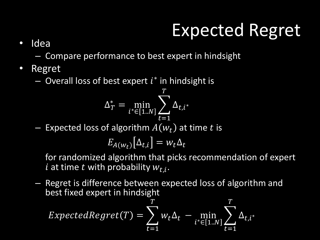## Expected Regret

• Idea

– Compare performance to best expert in hindsight

- Regret
	- $-$  Overall loss of best expert  $i^*$  in hindsight is

$$
\Delta_T^* = \min_{i^* \in [1..N]} \sum_{t=1}^T \Delta_{t,i^*}
$$

- Expected loss of algorithm  $A(w_t)$  at time t is

$$
E_{A(w_t)}[\Delta_{t,i}] = w_t \Delta_t
$$

for randomized algorithm that picks recommendation of expert i at time t with probability  $w_{t,i}$ .

– Regret is difference between expected loss of algorithm and best fixed expert in hindsight

$$
ExpectedRegret(T) = \sum_{t=1}^{T} w_t \Delta_t - \min_{i^* \in [1..N]} \sum_{t=1}^{T} \Delta_{t,i^*}
$$